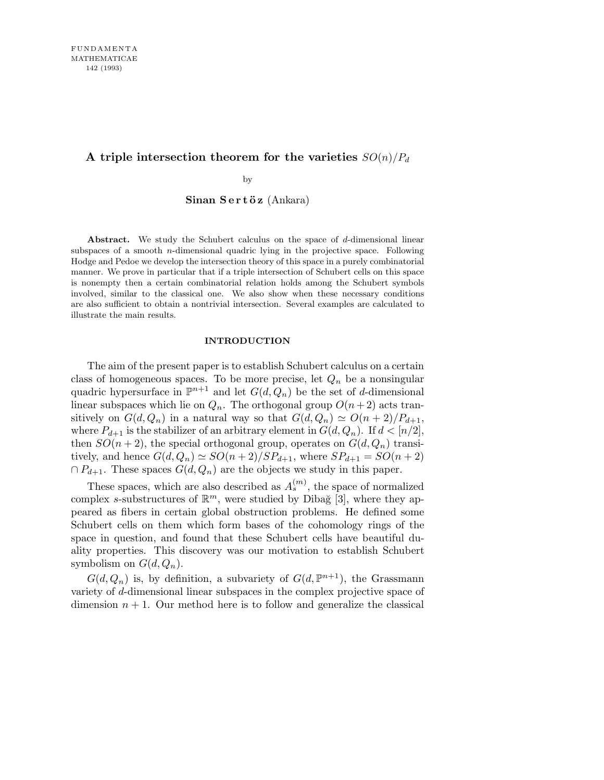# A triple intersection theorem for the varieties  $SO(n)/P_d$

by

 $S$ inan  $S$ ert öz (Ankara)

**Abstract.** We study the Schubert calculus on the space of *d*-dimensional linear subspaces of a smooth *n*-dimensional quadric lying in the projective space. Following Hodge and Pedoe we develop the intersection theory of this space in a purely combinatorial manner. We prove in particular that if a triple intersection of Schubert cells on this space is nonempty then a certain combinatorial relation holds among the Schubert symbols involved, similar to the classical one. We also show when these necessary conditions are also sufficient to obtain a nontrivial intersection. Several examples are calculated to illustrate the main results.

### **INTRODUCTION**

The aim of the present paper is to establish Schubert calculus on a certain class of homogeneous spaces. To be more precise, let  $Q_n$  be a nonsingular quadric hypersurface in  $\mathbb{P}^{n+1}$  and let  $G(d, Q_n)$  be the set of d-dimensional linear subspaces which lie on  $Q_n$ . The orthogonal group  $O(n+2)$  acts transitively on  $G(d, Q_n)$  in a natural way so that  $G(d, Q_n) \simeq O(n+2)/P_{d+1}$ , where  $P_{d+1}$  is the stabilizer of an arbitrary element in  $G(d, Q_n)$ . If  $d < [n/2]$ , then  $SO(n+2)$ , the special orthogonal group, operates on  $G(d, Q_n)$  transitively, and hence  $G(d, Q_n) \simeq SO(n+2)/SP_{d+1}$ , where  $SP_{d+1} = SO(n+2)$  $\cap P_{d+1}$ . These spaces  $G(d, Q_n)$  are the objects we study in this paper.

These spaces, which are also described as  $A_s^{(m)}$ , the space of normalized complex s-substructures of  $\mathbb{R}^m$ , were studied by Dibağ [3], where they appeared as fibers in certain global obstruction problems. He defined some Schubert cells on them which form bases of the cohomology rings of the space in question, and found that these Schubert cells have beautiful duality properties. This discovery was our motivation to establish Schubert symbolism on  $G(d, Q_n)$ .

 $G(d, Q_n)$  is, by definition, a subvariety of  $G(d, \mathbb{P}^{n+1})$ , the Grassmann variety of d-dimensional linear subspaces in the complex projective space of dimension  $n + 1$ . Our method here is to follow and generalize the classical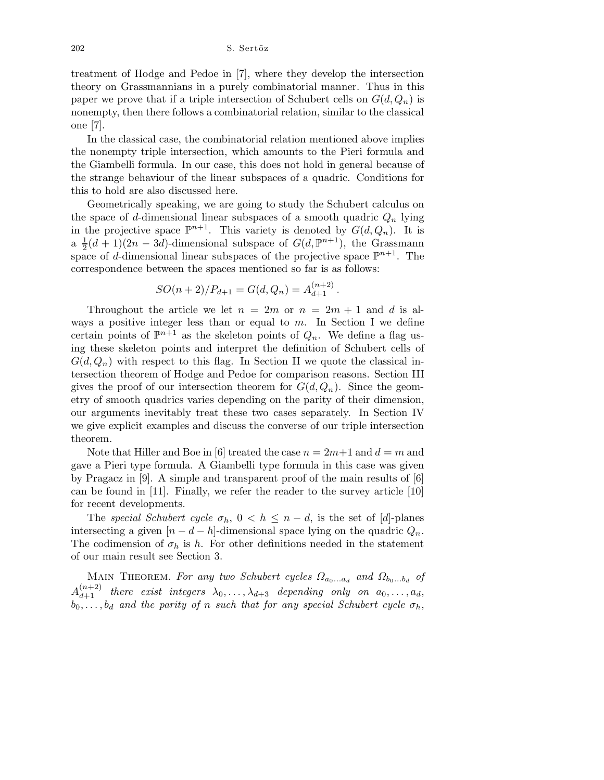202 S. Sertöz

treatment of Hodge and Pedoe in [7], where they develop the intersection theory on Grassmannians in a purely combinatorial manner. Thus in this paper we prove that if a triple intersection of Schubert cells on  $G(d, Q_n)$  is nonempty, then there follows a combinatorial relation, similar to the classical one [7].

In the classical case, the combinatorial relation mentioned above implies the nonempty triple intersection, which amounts to the Pieri formula and the Giambelli formula. In our case, this does not hold in general because of the strange behaviour of the linear subspaces of a quadric. Conditions for this to hold are also discussed here.

Geometrically speaking, we are going to study the Schubert calculus on the space of d-dimensional linear subspaces of a smooth quadric  $Q_n$  lying in the projective space  $\mathbb{P}^{n+1}$ . This variety is denoted by  $G(d, Q_n)$ . It is  $a \frac{1}{2}$  $\frac{1}{2}(d+1)(2n-3d)$ -dimensional subspace of  $G(d,\mathbb{P}^{n+1})$ , the Grassmann space of d-dimensional linear subspaces of the projective space  $\mathbb{P}^{n+1}$ . The correspondence between the spaces mentioned so far is as follows:

$$
SO(n+2)/P_{d+1} = G(d, Q_n) = A_{d+1}^{(n+2)}.
$$

Throughout the article we let  $n = 2m$  or  $n = 2m + 1$  and d is always a positive integer less than or equal to  $m$ . In Section I we define certain points of  $\mathbb{P}^{n+1}$  as the skeleton points of  $Q_n$ . We define a flag using these skeleton points and interpret the definition of Schubert cells of  $G(d, Q_n)$  with respect to this flag. In Section II we quote the classical intersection theorem of Hodge and Pedoe for comparison reasons. Section III gives the proof of our intersection theorem for  $G(d, Q_n)$ . Since the geometry of smooth quadrics varies depending on the parity of their dimension, our arguments inevitably treat these two cases separately. In Section IV we give explicit examples and discuss the converse of our triple intersection theorem.

Note that Hiller and Boe in [6] treated the case  $n = 2m+1$  and  $d = m$  and gave a Pieri type formula. A Giambelli type formula in this case was given by Pragacz in [9]. A simple and transparent proof of the main results of [6] can be found in [11]. Finally, we refer the reader to the survey article [10] for recent developments.

The special Schubert cycle  $\sigma_h$ ,  $0 < h \leq n-d$ , is the set of [d]-planes intersecting a given  $[n - d - h]$ -dimensional space lying on the quadric  $Q_n$ . The codimension of  $\sigma_h$  is h. For other definitions needed in the statement of our main result see Section 3.

MAIN THEOREM. For any two Schubert cycles  $\Omega_{a_0...a_d}$  and  $\Omega_{b_0...b_d}$  of  $A_{d+1}^{(n+2)}$  there exist integers  $\lambda_0, \ldots, \lambda_{d+3}$  depending only on  $a_0, \ldots, a_d$ ,  $b_0, \ldots, b_d$  and the parity of n such that for any special Schubert cycle  $\sigma_h$ ,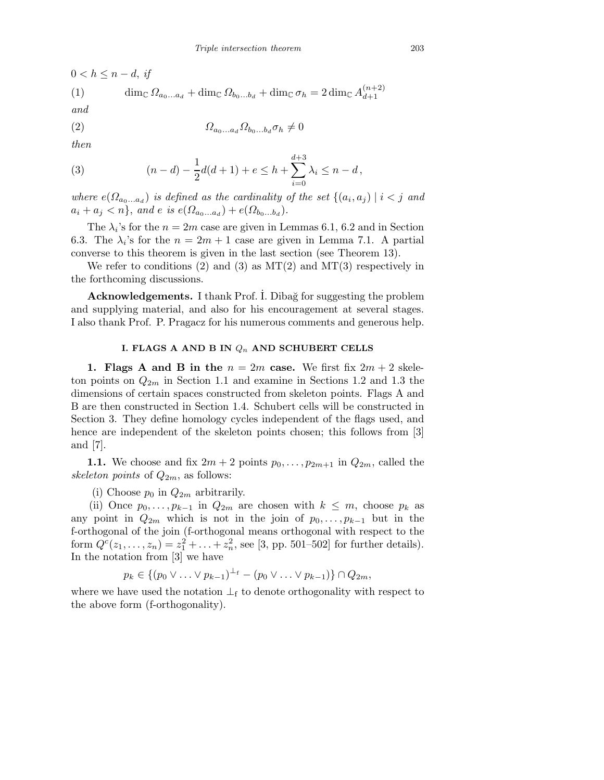$0 < h \leq n-d$ , if

(1) 
$$
\dim_{\mathbb{C}} \Omega_{a_0...a_d} + \dim_{\mathbb{C}} \Omega_{b_0...b_d} + \dim_{\mathbb{C}} \sigma_h = 2 \dim_{\mathbb{C}} A_{d+1}^{(n+2)}
$$

and

$$
(2) \qquad \qquad \Omega_{a_0...a_d} \Omega_{b_0...b_d} \sigma_h \neq 0
$$

then

(3) 
$$
(n-d) - \frac{1}{2}d(d+1) + e \leq h + \sum_{i=0}^{d+3} \lambda_i \leq n-d,
$$

where  $e(\Omega_{a_0...a_d})$  is defined as the cardinality of the set  $\{(a_i,a_j) \mid i < j \text{ and } j \leq j \}$  $a_i + a_j < n$ , and e is  $e(\Omega_{a_0...a_d}) + e(\Omega_{b_0...b_d}).$ 

The  $\lambda_i$ 's for the  $n = 2m$  case are given in Lemmas 6.1, 6.2 and in Section 6.3. The  $\lambda_i$ 's for the  $n = 2m + 1$  case are given in Lemma 7.1. A partial converse to this theorem is given in the last section (see Theorem 13).

We refer to conditions (2) and (3) as  $MT(2)$  and  $MT(3)$  respectively in the forthcoming discussions.

Acknowledgements. I thank Prof. I. Dibağ for suggesting the problem and supplying material, and also for his encouragement at several stages. I also thank Prof. P. Pragacz for his numerous comments and generous help.

### **I. FLAGS A AND B IN** *Q<sup>n</sup>* **AND SCHUBERT CELLS**

1. Flags A and B in the  $n = 2m$  case. We first fix  $2m + 2$  skeleton points on  $Q_{2m}$  in Section 1.1 and examine in Sections 1.2 and 1.3 the dimensions of certain spaces constructed from skeleton points. Flags A and B are then constructed in Section 1.4. Schubert cells will be constructed in Section 3. They define homology cycles independent of the flags used, and hence are independent of the skeleton points chosen; this follows from [3] and [7].

1.1. We choose and fix  $2m + 2$  points  $p_0, \ldots, p_{2m+1}$  in  $Q_{2m}$ , called the skeleton points of  $Q_{2m}$ , as follows:

(i) Choose  $p_0$  in  $Q_{2m}$  arbitrarily.

(ii) Once  $p_0, \ldots, p_{k-1}$  in  $Q_{2m}$  are chosen with  $k \leq m$ , choose  $p_k$  as any point in  $Q_{2m}$  which is not in the join of  $p_0, \ldots, p_{k-1}$  but in the f-orthogonal of the join (f-orthogonal means orthogonal with respect to the form  $Q^{c}(z_1,...,z_n) = z_1^2 + ... + z_n^2$ , see [3, pp. 501–502] for further details). In the notation from [3] we have

$$
p_k \in \{(p_0 \vee \ldots \vee p_{k-1})^{\perp_f} - (p_0 \vee \ldots \vee p_{k-1})\} \cap Q_{2m},
$$

where we have used the notation  $\perp_f$  to denote orthogonality with respect to the above form (f-orthogonality).

 $\sim$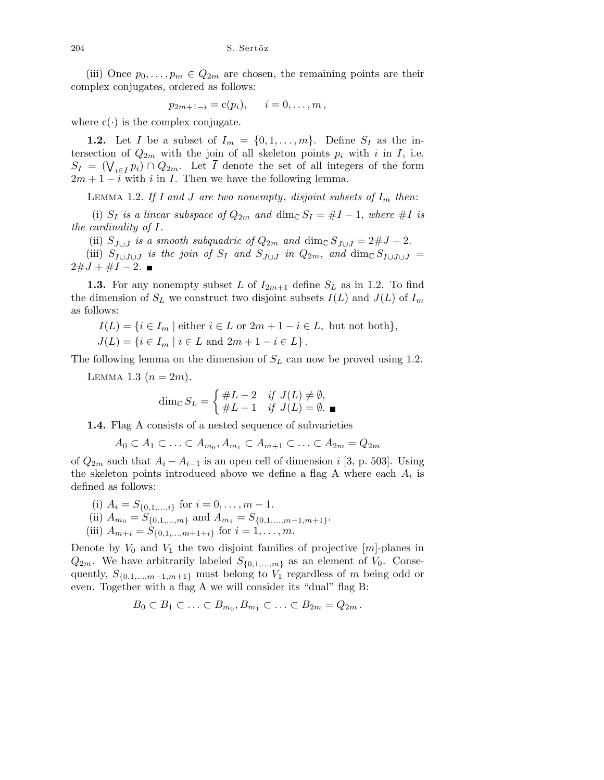(iii) Once  $p_0, \ldots, p_m \in Q_{2m}$  are chosen, the remaining points are their complex conjugates, ordered as follows:

$$
p_{2m+1-i} = c(p_i), \qquad i = 0, \ldots, m
$$

where  $c(\cdot)$  is the complex conjugate.

1.2. Let I be a subset of  $I_m = \{0, 1, \ldots, m\}$ . Define  $S_I$  as the intersection of  $Q_{2m}$  with the join of all skeleton points  $p_i$  with i in I, i.e.  $S_I = (\bigvee_{i \in I} p_i) \cap Q_{2m}$ . Let  $\overline{I}$  denote the set of all integers of the form  $2m + 1 - i$  with i in I. Then we have the following lemma.

LEMMA 1.2. If I and J are two nonempty, disjoint subsets of  $I_m$  then:

(i)  $S_I$  is a linear subspace of  $Q_{2m}$  and  $\dim_{\mathbb{C}} S_I = \#I - 1$ , where  $\#I$  is the cardinality of I.

(ii)  $S_{J\cup \bar{J}}$  is a smooth subquadric of  $Q_{2m}$  and dim<sub>C</sub>  $S_{J\cup \bar{J}} = 2\#J - 2$ .

(iii)  $S_{I\cup J\cup \bar{J}}$  is the join of  $S_I$  and  $S_{J\cup \bar{J}}$  in  $Q_{2m}$ , and  $\dim_{\mathbb{C}} S_{I\cup J\cup \bar{J}}=$  $2\#J + \#I - 2$ .

**1.3.** For any nonempty subset L of  $I_{2m+1}$  define  $S_L$  as in 1.2. To find the dimension of  $S_L$  we construct two disjoint subsets  $I(L)$  and  $J(L)$  of  $I_m$ as follows:

$$
I(L) = \{ i \in I_m \mid \text{either } i \in L \text{ or } 2m + 1 - i \in L, \text{ but not both} \},
$$

$$
J(L) = \{ i \in I_m \mid i \in L \text{ and } 2m + 1 - i \in L \}.
$$

The following lemma on the dimension of  $S_L$  can now be proved using 1.2.

LEMMA 1.3  $(n = 2m)$ .

$$
\dim_{\mathbb{C}} S_L = \begin{cases} \#L - 2 & \text{if } J(L) \neq \emptyset, \\ \#L - 1 & \text{if } J(L) = \emptyset. \end{cases}
$$

1.4. Flag A consists of a nested sequence of subvarieties

$$
A_0 \subset A_1 \subset \ldots \subset A_{m_0}, A_{m_1} \subset A_{m+1} \subset \ldots \subset A_{2m} = Q_{2m}
$$

of  $Q_{2m}$  such that  $A_i - A_{i-1}$  is an open cell of dimension i [3, p. 503]. Using the skeleton points introduced above we define a flag A where each  $A_i$  is defined as follows:

- (i)  $A_i = S_{\{0,1,\ldots,i\}}$  for  $i = 0, \ldots, m-1$ .
- (ii)  $A_{m_0} = S_{\{0,1,\dots,m\}}$  and  $A_{m_1} = S_{\{0,1,\dots,m-1,m+1\}}$ .
- (iii)  $A_{m+i} = S_{\{0,1,\dots,m+1+i\}}$  for  $i = 1,\dots,m$ .

Denote by  $V_0$  and  $V_1$  the two disjoint families of projective  $[m]$ -planes in  $Q_{2m}$ . We have arbitrarily labeled  $S_{\{0,1,\ldots,m\}}$  as an element of  $V_0$ . Consequently,  $S_{\{0,1,\ldots,m-1,m+1\}}$  must belong to  $V_1$  regardless of m being odd or even. Together with a flag A we will consider its "dual" flag B:

$$
B_0\subset B_1\subset\ldots\subset B_{m_0},B_{m_1}\subset\ldots\subset B_{2m}=Q_{2m}.
$$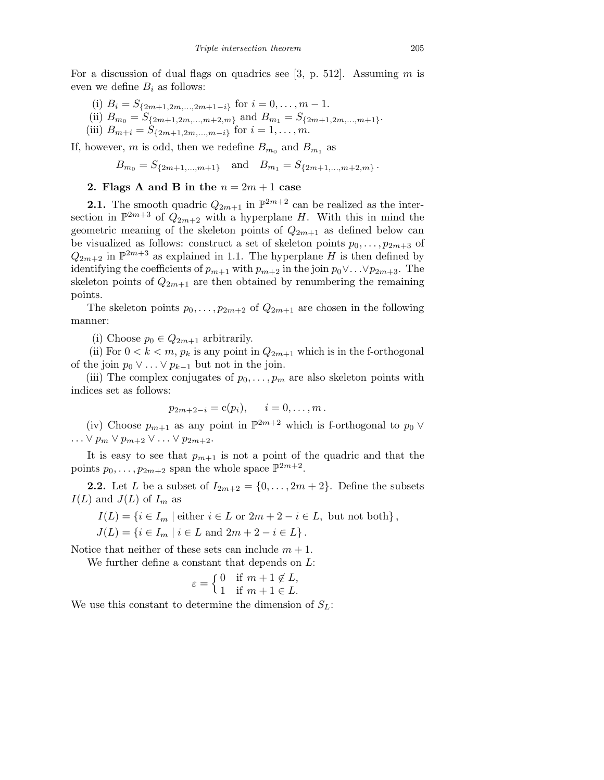For a discussion of dual flags on quadrics see [3, p. 512]. Assuming m is even we define  $B_i$  as follows:

- (i)  $B_i = S_{\{2m+1,2m,\dots,2m+1-i\}}$  for  $i = 0,\dots, m-1$ .
- (ii)  $B_{m_0} = S_{\{2m+1,2m,\dots,m+2,m\}}$  and  $B_{m_1} = S_{\{2m+1,2m,\dots,m+1\}}$ .
- (iii)  $B_{m+i} = S_{\{2m+1,2m,...,m-i\}}$  for  $i = 1, ..., m$ .

If, however, m is odd, then we redefine  $B_{m_0}$  and  $B_{m_1}$  as

 $B_{m_0} = S_{\{2m+1,\dots,m+1\}}$  and  $B_{m_1} = S_{\{2m+1,\dots,m+2,m\}}$ .

## 2. Flags A and B in the  $n = 2m + 1$  case

**2.1.** The smooth quadric  $Q_{2m+1}$  in  $\mathbb{P}^{2m+2}$  can be realized as the intersection in  $\mathbb{P}^{2m+3}$  of  $Q_{2m+2}$  with a hyperplane H. With this in mind the geometric meaning of the skeleton points of  $Q_{2m+1}$  as defined below can be visualized as follows: construct a set of skeleton points  $p_0, \ldots, p_{2m+3}$  of  $Q_{2m+2}$  in  $\mathbb{P}^{2m+3}$  as explained in 1.1. The hyperplane H is then defined by identifying the coefficients of  $p_{m+1}$  with  $p_{m+2}$  in the join  $p_0 \vee \ldots \vee p_{2m+3}$ . The skeleton points of  $Q_{2m+1}$  are then obtained by renumbering the remaining points.

The skeleton points  $p_0, \ldots, p_{2m+2}$  of  $Q_{2m+1}$  are chosen in the following manner:

(i) Choose  $p_0 \in Q_{2m+1}$  arbitrarily.

(ii) For  $0 < k < m$ ,  $p_k$  is any point in  $Q_{2m+1}$  which is in the f-orthogonal of the join  $p_0 \vee \ldots \vee p_{k-1}$  but not in the join.

(iii) The complex conjugates of  $p_0, \ldots, p_m$  are also skeleton points with indices set as follows:

$$
p_{2m+2-i} = c(p_i), \quad i = 0, ..., m.
$$

(iv) Choose  $p_{m+1}$  as any point in  $\mathbb{P}^{2m+2}$  which is f-orthogonal to  $p_0 \vee$  $\ldots \vee p_m \vee p_{m+2} \vee \ldots \vee p_{2m+2}.$ 

It is easy to see that  $p_{m+1}$  is not a point of the quadric and that the points  $p_0, \ldots, p_{2m+2}$  span the whole space  $\mathbb{P}^{2m+2}$ .

**2.2.** Let L be a subset of  $I_{2m+2} = \{0, ..., 2m+2\}$ . Define the subsets  $I(L)$  and  $J(L)$  of  $I_m$  as

$$
I(L) = \{ i \in I_m \mid \text{either } i \in L \text{ or } 2m + 2 - i \in L, \text{ but not both } \},
$$

$$
J(L) = \{ i \in I_m \mid i \in L \text{ and } 2m + 2 - i \in L \}.
$$

Notice that neither of these sets can include  $m + 1$ .

We further define a constant that depends on L:

$$
\varepsilon = \left\{ \begin{matrix} 0 & \text{if } m+1 \not\in L, \\ 1 & \text{if } m+1 \in L. \end{matrix} \right.
$$

We use this constant to determine the dimension of  $S_L$ :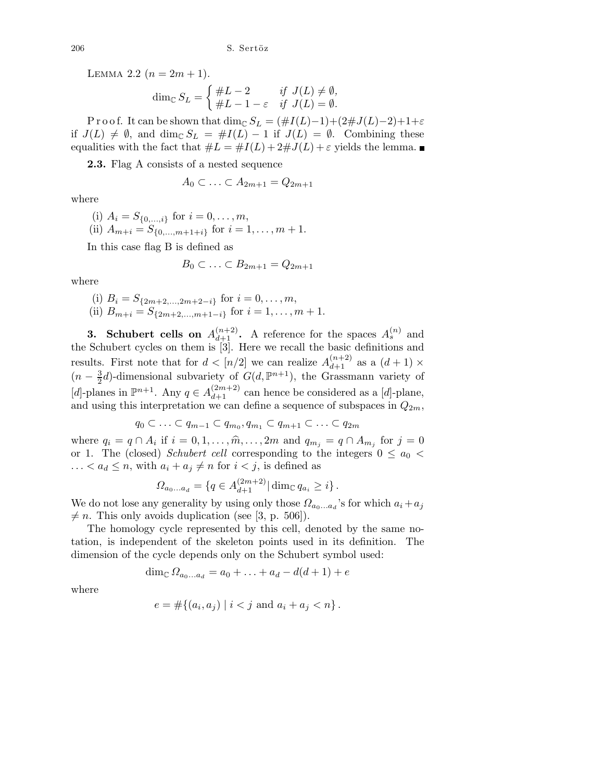LEMMA 2.2  $(n = 2m + 1)$ .

$$
\dim_{\mathbb{C}} S_L = \begin{cases} \#L - 2 & \text{if } J(L) \neq \emptyset, \\ \#L - 1 - \varepsilon & \text{if } J(L) = \emptyset. \end{cases}
$$

P r o o f. It can be shown that dim<sub>C</sub>  $S_L = (\#I(L)-1)+(2\#J(L)-2)+1+\varepsilon$ if  $J(L) \neq \emptyset$ , and dim<sub>C</sub>  $S_L = \#I(L) - 1$  if  $J(L) = \emptyset$ . Combining these equalities with the fact that  $\#L = \#I(L) + 2\#J(L) + \varepsilon$  yields the lemma.

2.3. Flag A consists of a nested sequence

$$
A_0 \subset \ldots \subset A_{2m+1} = Q_{2m+1}
$$

where

(i) 
$$
A_i = S_{\{0,\dots,i\}}
$$
 for  $i = 0,\dots,m$ ,  
(ii)  $A_{m+i} = S_{\{0,\dots,m+1+i\}}$  for  $i = 1,\dots,m+1$ .

In this case flag B is defined as

$$
B_0 \subset \ldots \subset B_{2m+1} = Q_{2m+1}
$$

where

(i) 
$$
B_i = S_{\{2m+2,\ldots,2m+2-i\}}
$$
 for  $i = 0,\ldots,m$ ,  
(ii)  $B_{m+i} = S_{\{2m+2,\ldots,m+1-i\}}$  for  $i = 1,\ldots,m+1$ .

**3.** Schubert cells on  $A_{d+1}^{(n+2)}$ . A reference for the spaces  $A_s^{(n)}$  and the Schubert cycles on them is [3]. Here we recall the basic definitions and results. First note that for  $d < [n/2]$  we can realize  $A_{d+1}^{(n+2)}$  as a  $(d+1) \times$  $(n-\frac{3}{2})$  $\frac{3}{2}d$ -dimensional subvariety of  $G(d, \mathbb{P}^{n+1})$ , the Grassmann variety of [d]-planes in  $\mathbb{P}^{n+1}$ . Any  $q \in A_{d+1}^{(2m+2)}$  can hence be considered as a [d]-plane, and using this interpretation we can define a sequence of subspaces in  $Q_{2m}$ ,

$$
q_0 \subset \ldots \subset q_{m-1} \subset q_{m_0}, q_{m_1} \subset q_{m+1} \subset \ldots \subset q_{2m}
$$

where  $q_i = q \cap A_i$  if  $i = 0, 1, \ldots, \widehat{m}, \ldots, 2m$  and  $q_{m_j} = q \cap A_{m_j}$  for  $j = 0$ or 1. The (closed) Schubert cell corresponding to the integers  $0 \le a_0$  $\ldots < a_d \leq n$ , with  $a_i + a_j \neq n$  for  $i < j$ , is defined as

$$
\Omega_{a_0...a_d} = \{ q \in A_{d+1}^{(2m+2)} | \dim_{\mathbb{C}} q_{a_i} \geq i \}.
$$

We do not lose any generality by using only those  $\Omega_{a_0...a_d}$ 's for which  $a_i + a_j$  $\neq n$ . This only avoids duplication (see [3, p. 506]).

The homology cycle represented by this cell, denoted by the same notation, is independent of the skeleton points used in its definition. The dimension of the cycle depends only on the Schubert symbol used:

$$
\dim_{\mathbb{C}}\Omega_{a_0...a_d} = a_0 + \ldots + a_d - d(d+1) + e
$$

where

$$
e = \#\{(a_i, a_j) \mid i < j \text{ and } a_i + a_j < n\}.
$$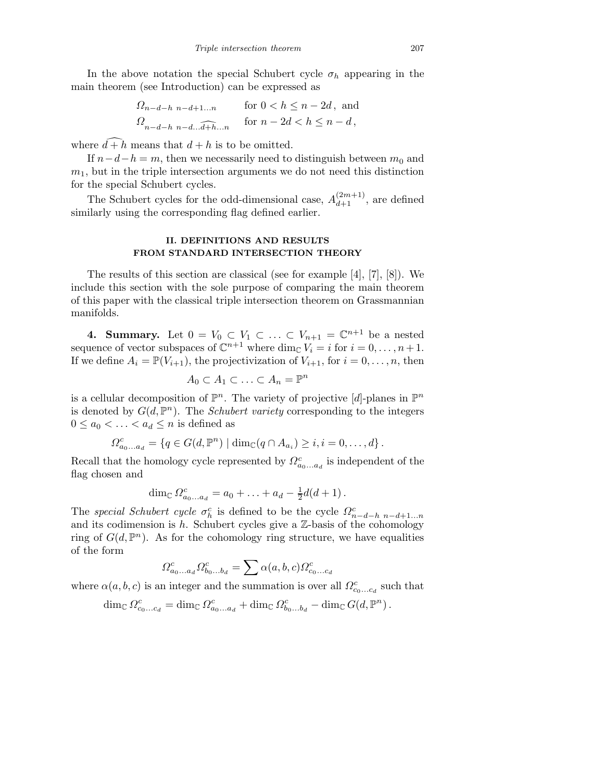In the above notation the special Schubert cycle  $\sigma_h$  appearing in the main theorem (see Introduction) can be expressed as

$$
\Omega_{n-d-h} \underset{n-d-h}{\text{ non--d}}_{n-d+1...n} \quad \text{for } 0 < h \le n-2d \text{, and}
$$
\n
$$
\Omega_{n-d-h} \underset{n-d...a+1...n}{\text{ for }} n-2d < h \le n-d \text{,}
$$

where  $\widehat{d+h}$  means that  $d+h$  is to be omitted.

If  $n-d-h = m$ , then we necessarily need to distinguish between  $m_0$  and  $m<sub>1</sub>$ , but in the triple intersection arguments we do not need this distinction for the special Schubert cycles.

The Schubert cycles for the odd-dimensional case,  $A_{d+1}^{(2m+1)}$ , are defined similarly using the corresponding flag defined earlier.

## **II. DEFINITIONS AND RESULTS FROM STANDARD INTERSECTION THEORY**

The results of this section are classical (see for example [4], [7], [8]). We include this section with the sole purpose of comparing the main theorem of this paper with the classical triple intersection theorem on Grassmannian manifolds.

**4. Summary.** Let  $0 = V_0 \subset V_1 \subset \ldots \subset V_{n+1} = \mathbb{C}^{n+1}$  be a nested sequence of vector subspaces of  $\mathbb{C}^{n+1}$  where  $\dim_{\mathbb{C}} V_i = i$  for  $i = 0, \ldots, n+1$ . If we define  $A_i = \mathbb{P}(V_{i+1})$ , the projectivization of  $V_{i+1}$ , for  $i = 0, \ldots, n$ , then

$$
A_0 \subset A_1 \subset \ldots \subset A_n = \mathbb{P}^n
$$

is a cellular decomposition of  $\mathbb{P}^n$ . The variety of projective [d]-planes in  $\mathbb{P}^n$ is denoted by  $G(d, \mathbb{P}^n)$ . The *Schubert variety* corresponding to the integers  $0 \leq a_0 < \ldots < a_d \leq n$  is defined as

$$
\Omega_{a_0...a_d}^c = \{q \in G(d,\mathbb{P}^n) \mid \dim_{\mathbb{C}}(q \cap A_{a_i}) \geq i, i = 0,\ldots,d\}.
$$

Recall that the homology cycle represented by  $\Omega_{a_0...a_d}^c$  is independent of the flag chosen and

$$
\dim_{\mathbb{C}} \Omega_{a_0...a_d}^c = a_0 + ... + a_d - \frac{1}{2}d(d+1).
$$

The special Schubert cycle  $\sigma_h^c$  is defined to be the cycle  $\Omega_{n-d-h}^c$  n-d+1...n and its codimension is  $h$ . Schubert cycles give a  $\mathbb{Z}$ -basis of the cohomology ring of  $G(d, \mathbb{P}^n)$ . As for the cohomology ring structure, we have equalities of the form

$$
\Omega_{a_0...a_d}^c \Omega_{b_0...b_d}^c = \sum \alpha(a,b,c) \Omega_{c_0...c_d}^c
$$

where  $\alpha(a, b, c)$  is an integer and the summation is over all  $\Omega_{c_0...c_d}^c$  such that

$$
\dim_{\mathbb{C}} \Omega^c_{c_0...c_d} = \dim_{\mathbb{C}} \Omega^c_{a_0...a_d} + \dim_{\mathbb{C}} \Omega^c_{b_0...b_d} - \dim_{\mathbb{C}} G(d,\mathbb{P}^n).
$$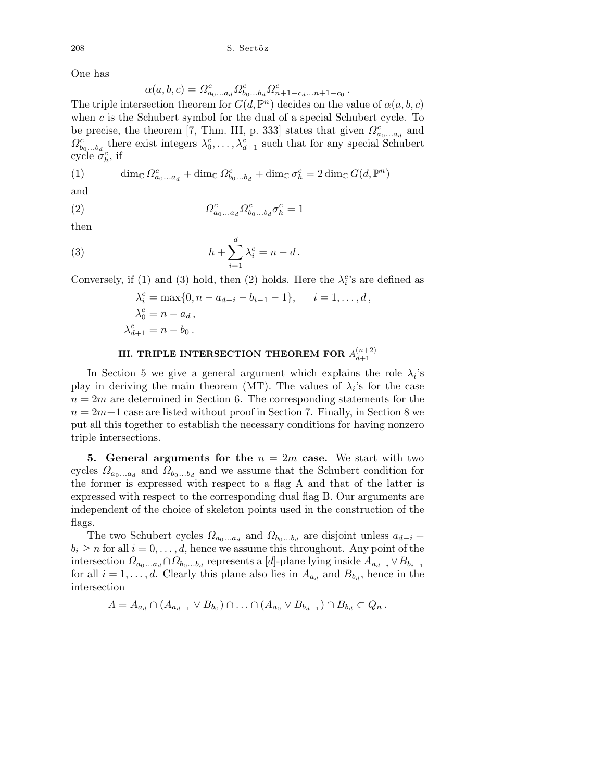One has

$$
\alpha(a,b,c)=\varOmega_{a_0...a_d}^c\varOmega_{b_0...b_d}^c\varOmega_{n+1-c_d...n+1-c_0}^c
$$

.

The triple intersection theorem for  $G(d, \mathbb{P}^n)$  decides on the value of  $\alpha(a, b, c)$ when  $c$  is the Schubert symbol for the dual of a special Schubert cycle. To be precise, the theorem [7, Thm. III, p. 333] states that given  $\Omega_{a_0...a_d}^c$  and  $\Omega_{b_0...b_d}^c$  there exist integers  $\lambda_0^c,\ldots,\lambda_{d+1}^c$  such that for any special Schubert cycle  $\sigma_h^c$ , if

(1) 
$$
\dim_{\mathbb{C}} \Omega_{a_0...a_d}^c + \dim_{\mathbb{C}} \Omega_{b_0...b_d}^c + \dim_{\mathbb{C}} \sigma_h^c = 2 \dim_{\mathbb{C}} G(d, \mathbb{P}^n)
$$

and

$$
(2) \qquad \qquad \Omega^{c}_{a_0...a_d} \Omega^{c}_{b_0...b_d} \sigma^c_h = 1
$$

then

(3) 
$$
h + \sum_{i=1}^d \lambda_i^c = n - d.
$$

Conversely, if (1) and (3) hold, then (2) holds. Here the  $\lambda_i^c$ 's are defined as

$$
\lambda_i^c = \max\{0, n - a_{d-i} - b_{i-1} - 1\}, \quad i = 1, ..., d,
$$
  
\n
$$
\lambda_0^c = n - a_d,
$$
  
\n
$$
\lambda_{d+1}^c = n - b_0.
$$

#### **III. TRIPLE INTERSECTION THEOREM FOR**  $A_{d+1}^{(n+2)}$ *d*+1

In Section 5 we give a general argument which explains the role  $\lambda_i$ 's play in deriving the main theorem (MT). The values of  $\lambda_i$ 's for the case  $n = 2m$  are determined in Section 6. The corresponding statements for the  $n = 2m+1$  case are listed without proof in Section 7. Finally, in Section 8 we put all this together to establish the necessary conditions for having nonzero triple intersections.

5. General arguments for the  $n = 2m$  case. We start with two cycles  $\Omega_{a_0...a_d}$  and  $\Omega_{b_0...b_d}$  and we assume that the Schubert condition for the former is expressed with respect to a flag A and that of the latter is expressed with respect to the corresponding dual flag B. Our arguments are independent of the choice of skeleton points used in the construction of the flags.

The two Schubert cycles  $\Omega_{a_0...a_d}$  and  $\Omega_{b_0...b_d}$  are disjoint unless  $a_{d-i}$  +  $b_i \geq n$  for all  $i = 0, \ldots, d$ , hence we assume this throughout. Any point of the intersection  $\Omega_{a_0...a_d} \cap \Omega_{b_0...b_d}$  represents a [d]-plane lying inside  $A_{a_{d-i}} \vee B_{b_{i-1}}$ for all  $i = 1, \ldots, d$ . Clearly this plane also lies in  $A_{a_d}$  and  $B_{b_d}$ , hence in the intersection

$$
\Lambda = A_{a_d} \cap (A_{a_{d-1}} \vee B_{b_0}) \cap \ldots \cap (A_{a_0} \vee B_{b_{d-1}}) \cap B_{b_d} \subset Q_n.
$$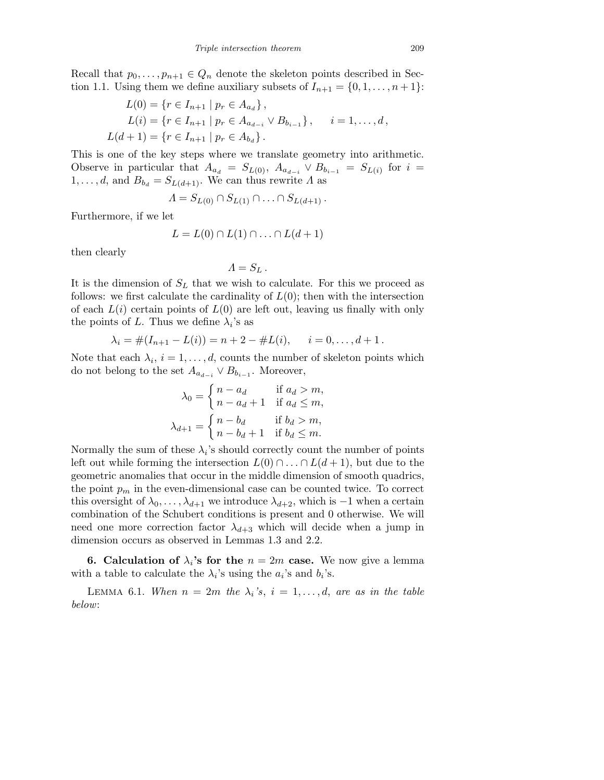Recall that  $p_0, \ldots, p_{n+1} \in Q_n$  denote the skeleton points described in Section 1.1. Using them we define auxiliary subsets of  $I_{n+1} = \{0, 1, \ldots, n+1\}$ :

$$
L(0) = \{r \in I_{n+1} \mid p_r \in A_{a_d}\},
$$
  
\n
$$
L(i) = \{r \in I_{n+1} \mid p_r \in A_{a_{d-i}} \vee B_{b_{i-1}}\}, \quad i = 1, ..., d,
$$
  
\n
$$
L(d+1) = \{r \in I_{n+1} \mid p_r \in A_{b_d}\}.
$$

This is one of the key steps where we translate geometry into arithmetic. Observe in particular that  $A_{a_d} = S_{L(0)}, A_{a_{d-i}} \vee B_{b_{i-1}} = S_{L(i)}$  for  $i =$  $1, \ldots, d$ , and  $B_{b_d} = S_{L(d+1)}$ . We can thus rewrite  $\Lambda$  as

$$
\Lambda = S_{L(0)} \cap S_{L(1)} \cap \ldots \cap S_{L(d+1)}.
$$

Furthermore, if we let

$$
L = L(0) \cap L(1) \cap \ldots \cap L(d+1)
$$

then clearly

$$
\Lambda = S_L \, .
$$

It is the dimension of  $S_L$  that we wish to calculate. For this we proceed as follows: we first calculate the cardinality of  $L(0)$ ; then with the intersection of each  $L(i)$  certain points of  $L(0)$  are left out, leaving us finally with only the points of L. Thus we define  $\lambda_i$ 's as

$$
\lambda_i = \#(I_{n+1} - L(i)) = n + 2 - \#L(i), \quad i = 0, \dots, d+1.
$$

Note that each  $\lambda_i$ ,  $i = 1, \ldots, d$ , counts the number of skeleton points which do not belong to the set  $A_{a_{d-i}} \vee B_{b_{i-1}}$ . Moreover,

$$
\lambda_0 = \begin{cases}\nn - a_d & \text{if } a_d > m, \\
n - a_d + 1 & \text{if } a_d \le m, \\
m, \lambda_{d+1} = \begin{cases}\nn - b_d & \text{if } b_d > m, \\
n - b_d + 1 & \text{if } b_d \le m.\n\end{cases}
$$

Normally the sum of these  $\lambda_i$ 's should correctly count the number of points left out while forming the intersection  $L(0) \cap ... \cap L(d+1)$ , but due to the geometric anomalies that occur in the middle dimension of smooth quadrics, the point  $p_m$  in the even-dimensional case can be counted twice. To correct this oversight of  $\lambda_0, \ldots, \lambda_{d+1}$  we introduce  $\lambda_{d+2}$ , which is  $-1$  when a certain combination of the Schubert conditions is present and 0 otherwise. We will need one more correction factor  $\lambda_{d+3}$  which will decide when a jump in dimension occurs as observed in Lemmas 1.3 and 2.2.

**6.** Calculation of  $\lambda_i$ 's for the  $n = 2m$  case. We now give a lemma with a table to calculate the  $\lambda_i$ 's using the  $a_i$ 's and  $b_i$ 's.

LEMMA 6.1. When  $n = 2m$  the  $\lambda_i$ 's,  $i = 1, \ldots, d$ , are as in the table below: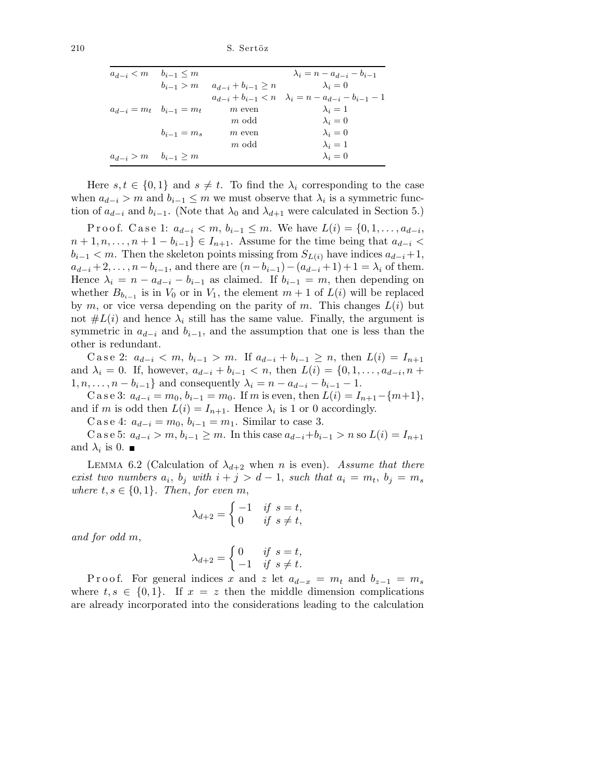| $a_{d-i} < m$ $b_{i-1} < m$     |                 |                                       | $\lambda_i = n - a_{d-i} - b_{i-1}$                                 |
|---------------------------------|-----------------|---------------------------------------|---------------------------------------------------------------------|
|                                 |                 | $b_{i-1} > m$ $a_{d-i} + b_{i-1} > n$ | $\lambda_i=0$                                                       |
|                                 |                 |                                       | $a_{d-i} + b_{i-1} < n \quad \lambda_i = n - a_{d-i} - b_{i-1} - 1$ |
| $a_{d-i} = m_t$ $b_{i-1} = m_t$ |                 | $m$ even                              | $\lambda_i=1$                                                       |
|                                 |                 | $m$ odd                               | $\lambda_i=0$                                                       |
|                                 | $b_{i-1} = m_s$ | $m$ even                              | $\lambda_i=0$                                                       |
|                                 |                 | $m$ odd                               | $\lambda_i=1$                                                       |
| $a_{d-i} > m$ $b_{i-1} > m$     |                 |                                       | $\lambda_i=0$                                                       |

Here  $s, t \in \{0, 1\}$  and  $s \neq t$ . To find the  $\lambda_i$  corresponding to the case when  $a_{d-i} > m$  and  $b_{i-1} \leq m$  we must observe that  $\lambda_i$  is a symmetric function of  $a_{d-i}$  and  $b_{i-1}$ . (Note that  $\lambda_0$  and  $\lambda_{d+1}$  were calculated in Section 5.)

Proof. Case 1:  $a_{d-i} < m, b_{i-1} \le m$ . We have  $L(i) = \{0, 1, \ldots, a_{d-i},$  $n+1, n, \ldots, n+1-b_{i-1}\} \in I_{n+1}$ . Assume for the time being that  $a_{d-i}$  $b_{i-1} < m$ . Then the skeleton points missing from  $S_{L(i)}$  have indices  $a_{d-i}+1$ ,  $a_{d-i}+2,\ldots,n-b_{i-1}$ , and there are  $(n-b_{i-1})-(a_{d-i}+1)+1=\lambda_i$  of them. Hence  $\lambda_i = n - a_{d-i} - b_{i-1}$  as claimed. If  $b_{i-1} = m$ , then depending on whether  $B_{b_{i-1}}$  is in  $V_0$  or in  $V_1$ , the element  $m+1$  of  $L(i)$  will be replaced by m, or vice versa depending on the parity of m. This changes  $L(i)$  but not  $#L(i)$  and hence  $\lambda_i$  still has the same value. Finally, the argument is symmetric in  $a_{d-i}$  and  $b_{i-1}$ , and the assumption that one is less than the other is redundant.

Case 2:  $a_{d-i} < m, b_{i-1} > m$ . If  $a_{d-i} + b_{i-1} \geq n$ , then  $L(i) = I_{n+1}$ and  $\lambda_i = 0$ . If, however,  $a_{d-i} + b_{i-1} < n$ , then  $L(i) = \{0, 1, \ldots, a_{d-i}, n +$  $1, n, \ldots, n - b_{i-1}$  and consequently  $\lambda_i = n - a_{d-i} - b_{i-1} - 1$ .

C a s e 3:  $a_{d-i} = m_0, b_{i-1} = m_0$ . If m is even, then  $L(i) = I_{n+1} - \{m+1\}$ , and if m is odd then  $L(i) = I_{n+1}$ . Hence  $\lambda_i$  is 1 or 0 accordingly.

C a s e 4:  $a_{d-i} = m_0, b_{i-1} = m_1$ . Similar to case 3.

C a s e 5:  $a_{d-i} > m$ ,  $b_{i-1} \geq m$ . In this case  $a_{d-i} + b_{i-1} > n$  so  $L(i) = I_{n+1}$ and  $\lambda_i$  is 0.

LEMMA 6.2 (Calculation of  $\lambda_{d+2}$  when n is even). Assume that there exist two numbers  $a_i$ ,  $b_j$  with  $i + j > d - 1$ , such that  $a_i = m_t$ ,  $b_j = m_s$ where  $t, s \in \{0,1\}$ . Then, for even m,

$$
\lambda_{d+2} = \begin{cases}\n-1 & \text{if } s = t, \\
0 & \text{if } s \neq t,\n\end{cases}
$$

and for odd m,

$$
\lambda_{d+2} = \begin{cases} 0 & \text{if } s = t, \\ -1 & \text{if } s \neq t. \end{cases}
$$

P r o o f. For general indices x and z let  $a_{d-x} = m_t$  and  $b_{z-1} = m_s$ where  $t, s \in \{0, 1\}$ . If  $x = z$  then the middle dimension complications are already incorporated into the considerations leading to the calculation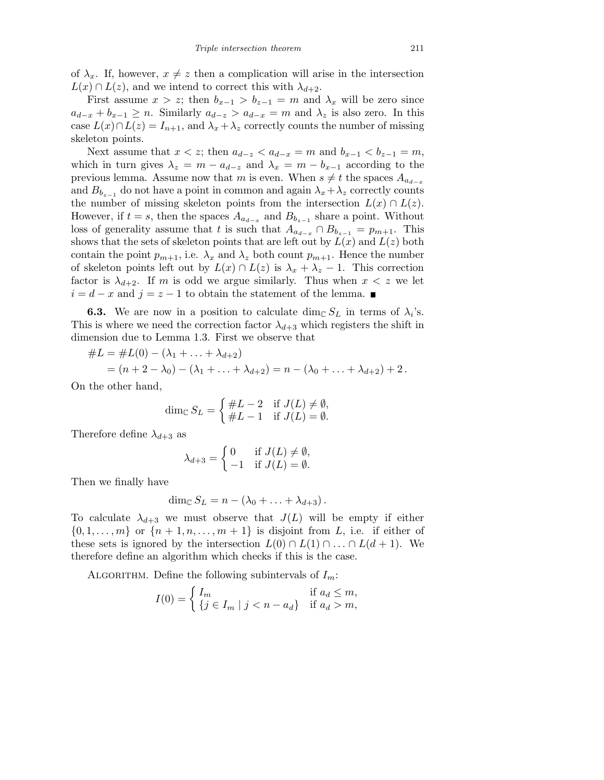of  $\lambda_x$ . If, however,  $x \neq z$  then a complication will arise in the intersection  $L(x) \cap L(z)$ , and we intend to correct this with  $\lambda_{d+2}$ .

First assume  $x > z$ ; then  $b_{x-1} > b_{z-1} = m$  and  $\lambda_x$  will be zero since  $a_{d-x} + b_{x-1} \ge n$ . Similarly  $a_{d-z} > a_{d-x} = m$  and  $\lambda_z$  is also zero. In this case  $L(x) \cap L(z) = I_{n+1}$ , and  $\lambda_x + \lambda_z$  correctly counts the number of missing skeleton points.

Next assume that  $x < z$ ; then  $a_{d-z} < a_{d-x} = m$  and  $b_{x-1} < b_{z-1} = m$ , which in turn gives  $\lambda_z = m - a_{d-z}$  and  $\lambda_x = m - b_{x-1}$  according to the previous lemma. Assume now that m is even. When  $s \neq t$  the spaces  $A_{a_{d-r}}$ and  $B_{b_{z-1}}$  do not have a point in common and again  $\lambda_x + \lambda_z$  correctly counts the number of missing skeleton points from the intersection  $L(x) \cap L(z)$ . However, if  $t = s$ , then the spaces  $A_{a_{d-x}}$  and  $B_{b_{z-1}}$  share a point. Without loss of generality assume that t is such that  $A_{a_{d-x}} \cap B_{b_{z-1}} = p_{m+1}$ . This shows that the sets of skeleton points that are left out by  $L(x)$  and  $L(z)$  both contain the point  $p_{m+1}$ , i.e.  $\lambda_x$  and  $\lambda_z$  both count  $p_{m+1}$ . Hence the number of skeleton points left out by  $L(x) \cap L(z)$  is  $\lambda_x + \lambda_z - 1$ . This correction factor is  $\lambda_{d+2}$ . If m is odd we argue similarly. Thus when  $x < z$  we let  $i = d - x$  and  $j = z - 1$  to obtain the statement of the lemma. ■

**6.3.** We are now in a position to calculate  $\dim_{\mathbb{C}} S_L$  in terms of  $\lambda_i$ 's. This is where we need the correction factor  $\lambda_{d+3}$  which registers the shift in dimension due to Lemma 1.3. First we observe that

$$
#L = #L(0) - (\lambda_1 + \dots + \lambda_{d+2})
$$
  
=  $(n + 2 - \lambda_0) - (\lambda_1 + \dots + \lambda_{d+2}) = n - (\lambda_0 + \dots + \lambda_{d+2}) + 2.$ 

On the other hand,

$$
\dim_{\mathbb{C}} S_L = \begin{cases} \#L - 2 & \text{if } J(L) \neq \emptyset, \\ \#L - 1 & \text{if } J(L) = \emptyset. \end{cases}
$$

Therefore define  $\lambda_{d+3}$  as

$$
\lambda_{d+3} = \begin{cases} 0 & \text{if } J(L) \neq \emptyset, \\ -1 & \text{if } J(L) = \emptyset. \end{cases}
$$

Then we finally have

$$
\dim_{\mathbb{C}} S_L = n - (\lambda_0 + \ldots + \lambda_{d+3}).
$$

To calculate  $\lambda_{d+3}$  we must observe that  $J(L)$  will be empty if either  $\{0, 1, \ldots, m\}$  or  $\{n+1, n, \ldots, m+1\}$  is disjoint from L, i.e. if either of these sets is ignored by the intersection  $L(0) \cap L(1) \cap ... \cap L(d+1)$ . We therefore define an algorithm which checks if this is the case.

ALGORITHM. Define the following subintervals of  $I_m$ :

$$
I(0) = \begin{cases} I_m & \text{if } a_d \le m, \\ \{j \in I_m \mid j < n - a_d\} & \text{if } a_d > m, \end{cases}
$$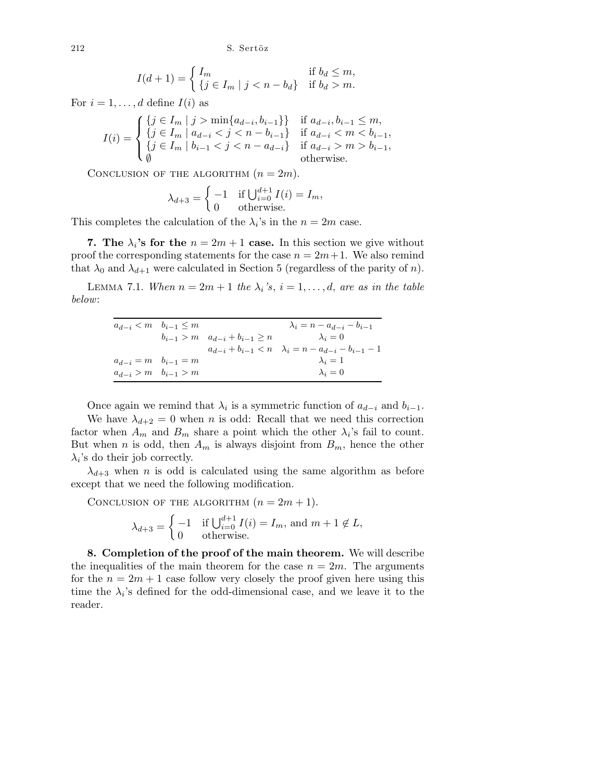212 S. Sertöz

$$
I(d+1) = \begin{cases} I_m & \text{if } b_d \le m, \\ \{j \in I_m \mid j < n - b_d\} & \text{if } b_d > m. \end{cases}
$$

For  $i = 1, \ldots, d$  define  $I(i)$  as

$$
I(i) = \begin{cases} \{j \in I_m \mid j > \min\{a_{d-i}, b_{i-1}\}\} & \text{if } a_{d-i}, b_{i-1} \le m, \\ \{j \in I_m \mid a_{d-i} < j < n - b_{i-1}\} & \text{if } a_{d-i} < m < b_{i-1}, \\ \{j \in I_m \mid b_{i-1} < j < n - a_{d-i}\} & \text{if } a_{d-i} > m > b_{i-1}, \\ \emptyset & \text{otherwise.} \end{cases}
$$

CONCLUSION OF THE ALGORITHM  $(n = 2m)$ .

$$
\lambda_{d+3} = \begin{cases}\n-1 & \text{if } \bigcup_{i=0}^{d+1} I(i) = I_m, \\
0 & \text{otherwise.} \n\end{cases}
$$

This completes the calculation of the  $\lambda_i$ 's in the  $n = 2m$  case.

7. The  $\lambda_i$ 's for the  $n = 2m + 1$  case. In this section we give without proof the corresponding statements for the case  $n = 2m+1$ . We also remind that  $\lambda_0$  and  $\lambda_{d+1}$  were calculated in Section 5 (regardless of the parity of n).

LEMMA 7.1. When  $n = 2m + 1$  the  $\lambda_i$ 's,  $i = 1, \ldots, d$ , are as in the table below:

| $a_{d-i} < m$ $b_{i-1} \leq m$ |                                              | $\lambda_i = n - a_{d-i} - b_{i-1}$                                 |
|--------------------------------|----------------------------------------------|---------------------------------------------------------------------|
|                                | $b_{i-1} > m \quad a_{d-i} + b_{i-1} \geq n$ | $\lambda_i = 0$                                                     |
|                                |                                              | $a_{d-i} + b_{i-1} < n \quad \lambda_i = n - a_{d-i} - b_{i-1} - 1$ |
| $a_{d-i} = m$ $b_{i-1} = m$    |                                              | $\lambda_i=1$                                                       |
| $a_{d-i} > m$ $b_{i-1} > m$    |                                              | $\lambda_i=0$                                                       |

Once again we remind that  $\lambda_i$  is a symmetric function of  $a_{d-i}$  and  $b_{i-1}$ . We have  $\lambda_{d+2} = 0$  when *n* is odd: Recall that we need this correction factor when  $A_m$  and  $B_m$  share a point which the other  $\lambda_i$ 's fail to count. But when n is odd, then  $A_m$  is always disjoint from  $B_m$ , hence the other  $\lambda_i$ 's do their job correctly.

 $\lambda_{d+3}$  when *n* is odd is calculated using the same algorithm as before except that we need the following modification.

CONCLUSION OF THE ALGORITHM  $(n = 2m + 1)$ .

$$
\lambda_{d+3} = \begin{cases}\n-1 & \text{if } \bigcup_{i=0}^{d+1} I(i) = I_m \text{, and } m+1 \notin L, \\
0 & \text{otherwise.} \n\end{cases}
$$

8. Completion of the proof of the main theorem. We will describe the inequalities of the main theorem for the case  $n = 2m$ . The arguments for the  $n = 2m + 1$  case follow very closely the proof given here using this time the  $\lambda_i$ 's defined for the odd-dimensional case, and we leave it to the reader.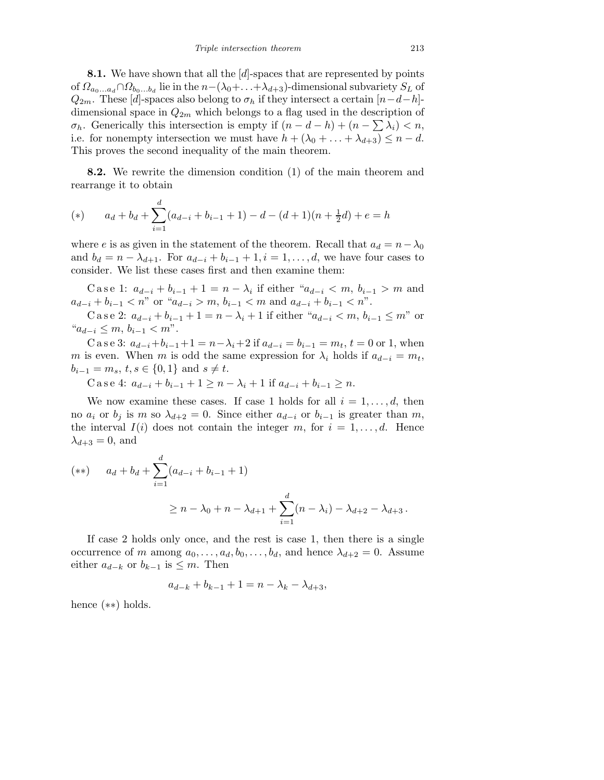**8.1.** We have shown that all the  $[d]$ -spaces that are represented by points of  $\Omega_{a_0...a_d} \cap \Omega_{b_0...b_d}$  lie in the  $n-(\lambda_0+\ldots+\lambda_{d+3})$ -dimensional subvariety  $S_L$  of  $Q_{2m}$ . These [d]-spaces also belong to  $\sigma_h$  if they intersect a certain  $[n-d-h]$ dimensional space in  $Q_{2m}$  which belongs to a flag used in the description of  $\sigma_h$ . Generically this intersection is empty if  $(n - d - h) + (n - \sum \lambda_i) < n$ , i.e. for nonempty intersection we must have  $h + (\lambda_0 + \ldots + \lambda_{d+3}) \leq n - d$ . This proves the second inequality of the main theorem.

8.2. We rewrite the dimension condition (1) of the main theorem and rearrange it to obtain

(\*) 
$$
a_d + b_d + \sum_{i=1}^d (a_{d-i} + b_{i-1} + 1) - d - (d+1)(n + \frac{1}{2}d) + e = h
$$

where e is as given in the statement of the theorem. Recall that  $a_d = n - \lambda_0$ and  $b_d = n - \lambda_{d+1}$ . For  $a_{d-i} + b_{i-1} + 1$ ,  $i = 1, \ldots, d$ , we have four cases to consider. We list these cases first and then examine them:

C a s e 1:  $a_{d-i} + b_{i-1} + 1 = n - \lambda_i$  if either " $a_{d-i} < m$ ,  $b_{i-1} > m$  and  $a_{d-i} + b_{i-1} < n$ " or " $a_{d-i} > m$ ,  $b_{i-1} < m$  and  $a_{d-i} + b_{i-1} < n$ ".

C a s e 2:  $a_{d-i} + b_{i-1} + 1 = n - \lambda_i + 1$  if either " $a_{d-i} < m, b_{i-1} \le m$ " or " $a_{d-i}$  ≤ m,  $b_{i-1}$  < m".

C a s e 3:  $a_{d-i}+b_{i-1}+1 = n-\lambda_i+2$  if  $a_{d-i} = b_{i-1} = m_t$ ,  $t = 0$  or 1, when m is even. When m is odd the same expression for  $\lambda_i$  holds if  $a_{d-i} = m_t$ ,  $b_{i-1} = m_s, t, s \in \{0, 1\}$  and  $s \neq t$ .

C a s e 4:  $a_{d-i} + b_{i-1} + 1 \ge n - \lambda_i + 1$  if  $a_{d-i} + b_{i-1} > n$ .

We now examine these cases. If case 1 holds for all  $i = 1, \ldots, d$ , then no  $a_i$  or  $b_j$  is m so  $\lambda_{d+2} = 0$ . Since either  $a_{d-i}$  or  $b_{i-1}$  is greater than m, the interval  $I(i)$  does not contain the integer m, for  $i = 1, \ldots, d$ . Hence  $\lambda_{d+3} = 0$ , and

(\*\*) 
$$
a_d + b_d + \sum_{i=1}^d (a_{d-i} + b_{i-1} + 1)
$$
  
\n $\ge n - \lambda_0 + n - \lambda_{d+1} + \sum_{i=1}^d (n - \lambda_i) - \lambda_{d+2} - \lambda_{d+3}.$ 

If case 2 holds only once, and the rest is case 1, then there is a single occurrence of m among  $a_0, \ldots, a_d, b_0, \ldots, b_d$ , and hence  $\lambda_{d+2} = 0$ . Assume either  $a_{d-k}$  or  $b_{k-1}$  is  $\leq m$ . Then

$$
a_{d-k} + b_{k-1} + 1 = n - \lambda_k - \lambda_{d+3},
$$

hence (∗∗) holds.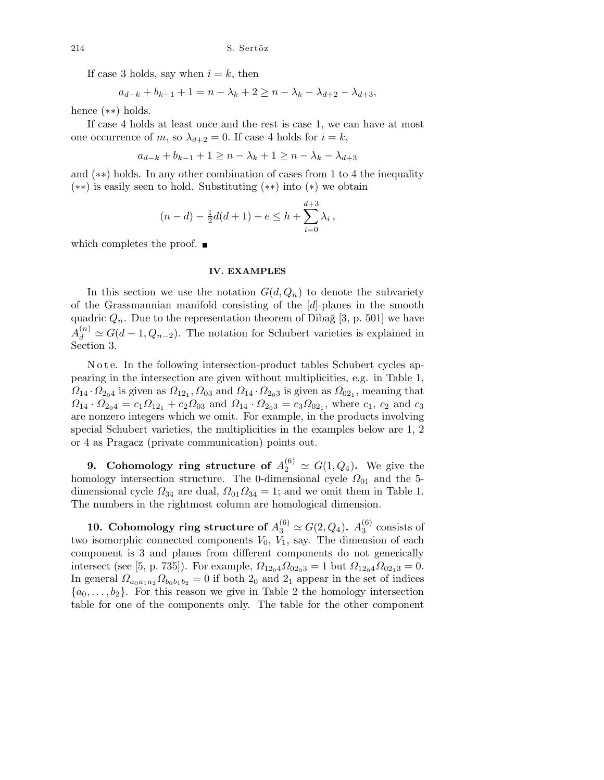If case 3 holds, say when  $i = k$ , then

$$
a_{d-k} + b_{k-1} + 1 = n - \lambda_k + 2 \ge n - \lambda_k - \lambda_{d+2} - \lambda_{d+3},
$$

hence (∗∗) holds.

If case 4 holds at least once and the rest is case 1, we can have at most one occurrence of m, so  $\lambda_{d+2} = 0$ . If case 4 holds for  $i = k$ ,

$$
a_{d-k} + b_{k-1} + 1 \ge n - \lambda_k + 1 \ge n - \lambda_k - \lambda_{d+3}
$$

and (∗∗) holds. In any other combination of cases from 1 to 4 the inequality (∗∗) is easily seen to hold. Substituting (∗∗) into (∗) we obtain

$$
(n-d) - \frac{1}{2}d(d+1) + e \le h + \sum_{i=0}^{d+3} \lambda_i,
$$

which completes the proof.  $\blacksquare$ 

## **IV. EXAMPLES**

In this section we use the notation  $G(d, Q_n)$  to denote the subvariety of the Grassmannian manifold consisting of the [d]-planes in the smooth quadric  $Q_n$ . Due to the representation theorem of Dibağ [3, p. 501] we have  $A_d^{(n)} \simeq G(d-1, Q_{n-2})$ . The notation for Schubert varieties is explained in Section 3.

N o t e. In the following intersection-product tables Schubert cycles appearing in the intersection are given without multiplicities, e.g. in Table 1,  $\Omega_{14} \cdot \Omega_{2_0 4}$  is given as  $\Omega_{12_1}, \Omega_{03}$  and  $\Omega_{14} \cdot \Omega_{2_0 3}$  is given as  $\Omega_{02_1}$ , meaning that  $\Omega_{14} \cdot \Omega_{2_0 4} = c_1 \Omega_{12_1} + c_2 \Omega_{03}$  and  $\Omega_{14} \cdot \Omega_{2_0 3} = c_3 \Omega_{02_1}$ , where  $c_1, c_2$  and  $c_3$ are nonzero integers which we omit. For example, in the products involving special Schubert varieties, the multiplicities in the examples below are 1, 2 or 4 as Pragacz (private communication) points out.

**9.** Cohomology ring structure of  $A_2^{(6)} \simeq G(1, Q_4)$ . We give the homology intersection structure. The 0-dimensional cycle  $\Omega_{01}$  and the 5dimensional cycle  $\Omega_{34}$  are dual,  $\Omega_{01}\Omega_{34} = 1$ ; and we omit them in Table 1. The numbers in the rightmost column are homological dimension.

10. Cohomology ring structure of  $A_3^{(6)} \simeq G(2,Q_4)$ .  $A_3^{(6)}$  $_3^{\circ}$  consists of two isomorphic connected components  $V_0$ ,  $V_1$ , say. The dimension of each component is 3 and planes from different components do not generically intersect (see [5, p. 735]). For example,  $\Omega_{12_04}\Omega_{02_03} = 1$  but  $\Omega_{12_04}\Omega_{02_13} = 0$ . In general  $\Omega_{a_0a_1a_2}\Omega_{b_0b_1b_2}=0$  if both  $2_0$  and  $2_1$  appear in the set of indices  ${a_0, \ldots, b_2}$ . For this reason we give in Table 2 the homology intersection table for one of the components only. The table for the other component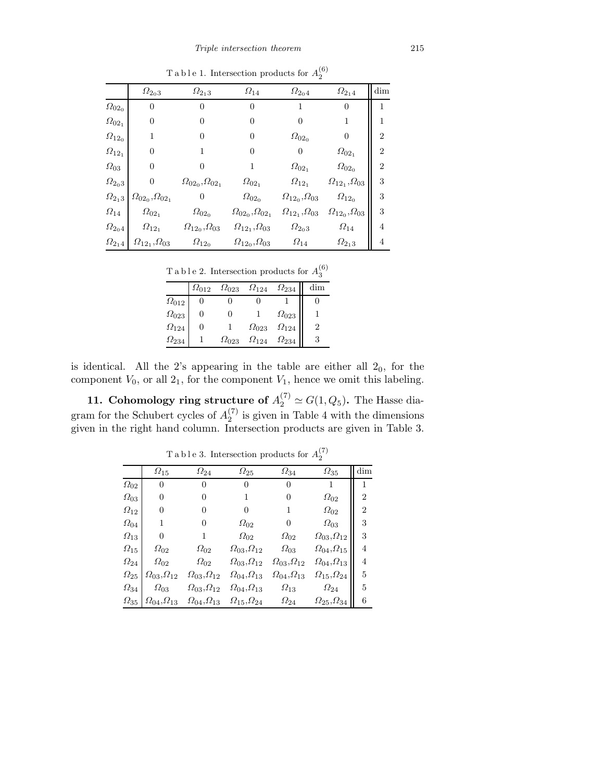|                      | $\varOmega_{2_03}$                  | $\varOmega_{2_13}$                  | $\varOmega_{14}$                    | $\varOmega_{2_04}$                | $\varOmega_{2_14}$                | dim            |
|----------------------|-------------------------------------|-------------------------------------|-------------------------------------|-----------------------------------|-----------------------------------|----------------|
| $\varOmega_{02_0}$   | 0                                   | $\theta$                            | 0                                   |                                   | 0                                 | 1              |
| $\varOmega_{02_{1}}$ | 0                                   | 0                                   | 0                                   | 0                                 |                                   |                |
| $\varOmega_{12_0}$   | 1                                   | 0                                   | 0                                   | $\varOmega_{02_0}$                | 0                                 | $\overline{2}$ |
| $\varOmega_{12_{1}}$ | $\overline{0}$                      |                                     | 0                                   | 0                                 | $\varOmega_{02_{1}}$              | $\overline{2}$ |
| $\varOmega_{03}$     | 0                                   |                                     |                                     | $\varOmega_{02_{1}}$              | $\varOmega_{02_0}$                | 2              |
| $\varOmega_{2_03}$   | $\overline{0}$                      | $\varOmega_{02_0},\varOmega_{02_1}$ | $\varOmega_{02_{1}}$                | $\varOmega_{12_{1}}$              | $\varOmega_{12_1},\varOmega_{03}$ | 3              |
| $\varOmega_{2_13}$   | $\varOmega_{02_0},\varOmega_{02_1}$ | $\overline{0}$                      | $\varOmega_{02_0}$                  | $\varOmega_{12_0},\varOmega_{03}$ | $\varOmega_{12_0}$                | 3              |
| $\varOmega_{14}$     | $\varOmega_{02_{1}}$                | $\varOmega_{02_0}$                  | $\varOmega_{02_0},\varOmega_{02_1}$ | $\varOmega_{12_1},\varOmega_{03}$ | $\varOmega_{12_0},\varOmega_{03}$ | 3              |
| $\varOmega_{2_04}$   | $\varOmega_{12_{1}}$                | $\varOmega_{12_0},\varOmega_{03}$   | $\varOmega_{12_1},\varOmega_{03}$   | $\varOmega_{2_03}$                | $\Omega_{14}$                     | 4              |
| $\varOmega_{2_14}$   | $\varOmega_{12_1},\varOmega_{03}$   | $\varOmega_{12_0}$                  | $\varOmega_{12_0},\varOmega_{03}$   | $\varOmega_{14}$                  | $\varOmega_{2_13}$                | 4              |
|                      |                                     |                                     |                                     |                                   |                                   |                |

T a b l e 1. Intersection products for  $A_2^{(6)}$ 

T a b l e 2. Intersection products for  $A_3^{(6)}$ 3

|                   |                |                |                |                | $\cdot$ |
|-------------------|----------------|----------------|----------------|----------------|---------|
|                   | $\Omega_{012}$ | $\Omega_{023}$ | $\Omega_{124}$ | $\Omega_{234}$ |         |
| $\Omega_{012}$    |                |                |                |                |         |
| $\Omega_{023}$    |                |                |                | $\Omega_{023}$ |         |
| $\varOmega_{124}$ |                |                | $\Omega_{023}$ | $\Omega_{124}$ |         |
| $\Omega_{234}$    |                | $\Omega_{023}$ | $\Omega_{124}$ | $\Omega_{234}$ |         |

is identical. All the 2's appearing in the table are either all  $2<sub>0</sub>$ , for the component  $V_0$ , or all  $2<sub>1</sub>$ , for the component  $V_1$ , hence we omit this labeling.

**11. Cohomology ring structure of**  $A_2^{(7)} \simeq G(1, Q_5)$ . The Hasse diagram for the Schubert cycles of  $A_2^{(7)}$  $i'$  is given in Table 4 with the dimensions given in the right hand column. Intersection products are given in Table 3.

|                  | $\Omega_{15}$                   | $\varOmega_{24}$           | $\varOmega_{25}$           | $\varOmega_{34}$                  | $\varOmega_{35}$                  | dim            |
|------------------|---------------------------------|----------------------------|----------------------------|-----------------------------------|-----------------------------------|----------------|
| $\Omega_{02}$    | $\overline{0}$                  | 0                          | $\theta$                   | 0                                 | 1                                 | 1              |
| $\varOmega_{03}$ | 0                               | 0                          | 1                          | 0                                 | $\varOmega_{02}$                  | $\overline{2}$ |
| $\Omega_{12}$    | 0                               | 0                          | 0                          |                                   | $\varOmega_{02}$                  | $\overline{2}$ |
| $\varOmega_{04}$ | 1                               | 0                          | $\varOmega_{02}$           | 0                                 | $\varOmega_{03}$                  | 3              |
| $\Omega_{13}$    | 0                               |                            | $\varOmega_{02}$           | $\varOmega_{02}$                  | $\varOmega_{03},\!\varOmega_{12}$ | 3              |
| $\Omega_{15}$    | $\varOmega_{02}$                | $\varOmega_{02}$           | $\Omega_{03}, \Omega_{12}$ | $\varOmega_{03}$                  | $\varOmega_{04},\!\varOmega_{15}$ | 4              |
| $\Omega_{24}$    | $\varOmega_{02}$                | $\varOmega_{02}$           | $\Omega_{03}, \Omega_{12}$ | $\varOmega_{03},\!\varOmega_{12}$ | $\varOmega_{04},\varOmega_{13}$   | 4              |
| $\Omega_{25}$    | $\varOmega_{03},\varOmega_{12}$ | $\Omega_{03}, \Omega_{12}$ | $\Omega_{04}, \Omega_{13}$ | $\Omega_{04}, \Omega_{13}$        | $\varOmega_{15},\varOmega_{24}$   | 5              |
| $\Omega_{34}$    | $\Omega_{03}$                   | $\Omega_{03}, \Omega_{12}$ | $\Omega_{04}, \Omega_{13}$ | $\varOmega_{13}$                  | $\varOmega_{24}$                  | 5              |
| $\Omega_{35}$    | $\Omega_{04}, \Omega_{13}$      | $\Omega_{04}, \Omega_{13}$ | $\Omega_{15}, \Omega_{24}$ | $\varOmega_{24}$                  | $\varOmega_{25},\varOmega_{34}$   | 6              |

T a b l e 3. Intersection products for  $A_2^{(7)}$ 2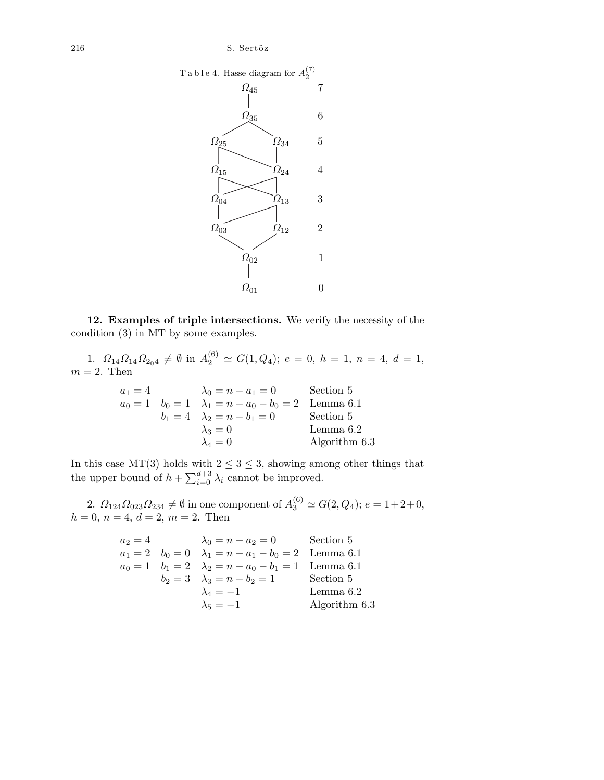$216$  S. Sertöz



12. Examples of triple intersections. We verify the necessity of the condition (3) in MT by some examples.

1.  $\Omega_{14}\Omega_{14}\Omega_{2_04} \neq \emptyset$  in  $A_2^{(6)} \simeq G(1,Q_4); e = 0, h = 1, n = 4, d = 1,$  $m = 2$ . Then

$$
a_1 = 4 \t\t \lambda_0 = n - a_1 = 0 \t\t Section 5a_0 = 1 \t\t b_0 = 1 \t\t \lambda_1 = n - a_0 - b_0 = 2 \t\t Lemma 6.1b_1 = 4 \t\t \lambda_2 = n - b_1 = 0 \t\t Section 5\n\lambda_3 = 0 \t\t Lemma 6.2\n\lambda_4 = 0 \t\t Algorithm 6.3
$$

In this case MT(3) holds with  $2 \leq 3 \leq 3$ , showing among other things that the upper bound of  $h + \sum_{i=0}^{d+3} \lambda_i$  cannot be improved.

2.  $\Omega_{124}\Omega_{023}\Omega_{234} \neq \emptyset$  in one component of  $A_3^{(6)} \simeq G(2,Q_4)$ ;  $e = 1+2+0$ ,  $h = 0, n = 4, d = 2, m = 2.$  Then

$$
a_2 = 4 \t\t \lambda_0 = n - a_2 = 0 \t\t Section 5
$$
  
\n
$$
a_1 = 2 \t\t b_0 = 0 \t\t \lambda_1 = n - a_1 - b_0 = 2 \t\t Lemma 6.1
$$
  
\n
$$
a_0 = 1 \t\t b_1 = 2 \t\t \lambda_2 = n - a_0 - b_1 = 1 \t\t Lemma 6.1
$$
  
\n
$$
b_2 = 3 \t\t \lambda_3 = n - b_2 = 1 \t\t Section 5
$$
  
\n
$$
\lambda_4 = -1 \t\t Lemma 6.2
$$
  
\n
$$
\lambda_5 = -1 \t\t
$$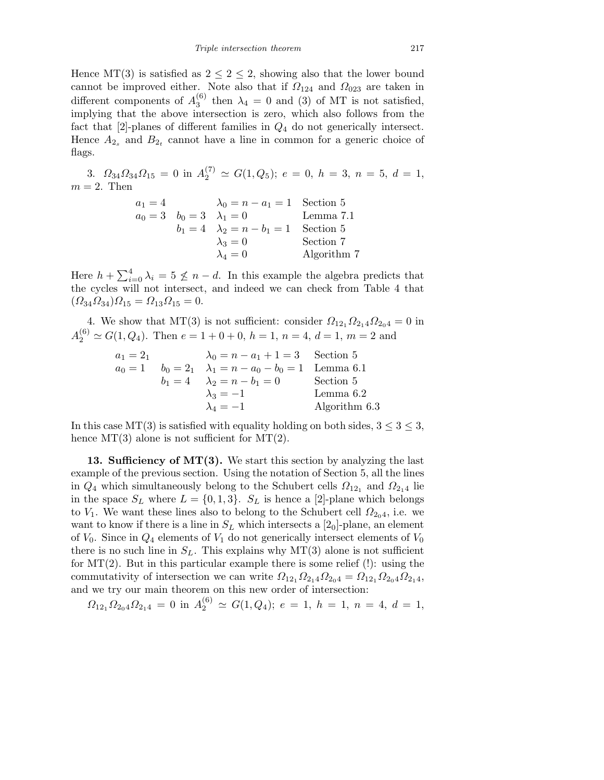Hence  $MT(3)$  is satisfied as  $2 \leq 2 \leq 2$ , showing also that the lower bound cannot be improved either. Note also that if  $\Omega_{124}$  and  $\Omega_{023}$  are taken in different components of  $A_3^{(6)}$  $t_3^{(0)}$  then  $\lambda_4 = 0$  and (3) of MT is not satisfied, implying that the above intersection is zero, which also follows from the fact that  $[2]$ -planes of different families in  $Q_4$  do not generically intersect. Hence  $A_{2_s}$  and  $B_{2_t}$  cannot have a line in common for a generic choice of flags.

3.  $\Omega_{34}\Omega_{34}\Omega_{15} = 0$  in  $A_2^{(7)} \simeq G(1,Q_5); e = 0, h = 3, n = 5, d = 1,$  $m = 2$ . Then

$$
a_1 = 4
$$
  
\n
$$
a_0 = 3
$$
  
\n
$$
b_0 = 3
$$
  
\n
$$
\lambda_1 = 0
$$
  
\n
$$
b_1 = 4
$$
  
\n
$$
\lambda_2 = n - b_1 = 1
$$
  
\nSection 5  
\nSection 5  
\n
$$
\lambda_3 = 0
$$
  
\nSection 7  
\n
$$
\lambda_4 = 0
$$
  
\nAlgorithm 7

Here  $h + \sum_{i=0}^{4} \lambda_i = 5 \nleq n - d$ . In this example the algebra predicts that the cycles will not intersect, and indeed we can check from Table 4 that  $(\Omega_{34}\Omega_{34})\Omega_{15} = \Omega_{13}\Omega_{15} = 0.$ 

4. We show that MT(3) is not sufficient: consider  $\Omega_{12_1}\Omega_{2_14}\Omega_{2_04}=0$  in  $A_2^{(6)} \simeq G(1, Q_4)$ . Then  $e = 1 + 0 + 0$ ,  $h = 1$ ,  $n = 4$ ,  $d = 1$ ,  $m = 2$  and

a<sup>1</sup> = 2<sup>1</sup> λ<sup>0</sup> = n − a<sup>1</sup> + 1 = 3 Section 5 a<sup>0</sup> = 1 b<sup>0</sup> = 2<sup>1</sup> λ<sup>1</sup> = n − a<sup>0</sup> − b<sup>0</sup> = 1 Lemma 6.1 b<sup>1</sup> = 4 λ<sup>2</sup> = n − b<sup>1</sup> = 0 Section 5 λ<sup>3</sup> = −1 Lemma 6.2 λ<sup>4</sup> = −1 Algorithm 6.3

In this case MT(3) is satisfied with equality holding on both sides,  $3 \leq 3 \leq 3$ , hence  $MT(3)$  alone is not sufficient for  $MT(2)$ .

13. Sufficiency of  $MT(3)$ . We start this section by analyzing the last example of the previous section. Using the notation of Section 5, all the lines in  $Q_4$  which simultaneously belong to the Schubert cells  $\Omega_{12_1}$  and  $\Omega_{2_14}$  lie in the space  $S_L$  where  $L = \{0, 1, 3\}$ .  $S_L$  is hence a [2]-plane which belongs to  $V_1$ . We want these lines also to belong to the Schubert cell  $\Omega_{204}$ , i.e. we want to know if there is a line in  $S_L$  which intersects a  $[2<sub>0</sub>]$ -plane, an element of  $V_0$ . Since in  $Q_4$  elements of  $V_1$  do not generically intersect elements of  $V_0$ there is no such line in  $S_L$ . This explains why MT(3) alone is not sufficient for  $MT(2)$ . But in this particular example there is some relief (!): using the commutativity of intersection we can write  $\Omega_{12_1}\Omega_{2_1} \Omega_{2_0} = \Omega_{12_1}\Omega_{2_0} \Omega_{2_1}$ and we try our main theorem on this new order of intersection:

$$
\Omega_{12_1}\Omega_{2_04}\Omega_{2_14} = 0 \text{ in } A_2^{(6)} \simeq G(1,Q_4); e = 1, h = 1, n = 4, d = 1,
$$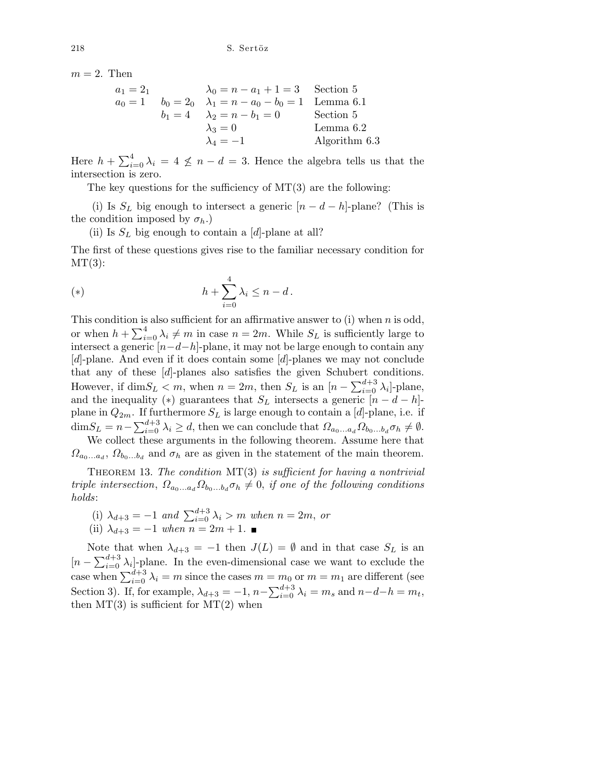$m = 2$ . Then

a<sup>1</sup> = 2<sup>1</sup> λ<sup>0</sup> = n − a<sup>1</sup> + 1 = 3 Section 5 a<sup>0</sup> = 1 b<sup>0</sup> = 2<sup>0</sup> λ<sup>1</sup> = n − a<sup>0</sup> − b<sup>0</sup> = 1 Lemma 6.1 b<sup>1</sup> = 4 λ<sup>2</sup> = n − b<sup>1</sup> = 0 Section 5 λ<sup>3</sup> = 0 Lemma 6.2 λ<sup>4</sup> = −1 Algorithm 6.3

Here  $h + \sum_{i=0}^{4} \lambda_i = 4 \nleq n - d = 3$ . Hence the algebra tells us that the intersection is zero.

The key questions for the sufficiency of  $MT(3)$  are the following:

(i) Is  $S_L$  big enough to intersect a generic  $[n - d - h]$ -plane? (This is the condition imposed by  $\sigma_h$ .)

(ii) Is  $S_L$  big enough to contain a [d]-plane at all?

The first of these questions gives rise to the familiar necessary condition for  $MT(3)$ :

(\*) 
$$
h + \sum_{i=0}^{4} \lambda_i \leq n - d.
$$

This condition is also sufficient for an affirmative answer to (i) when  $n$  is odd, or when  $h + \sum_{i=0}^{4} \lambda_i \neq m$  in case  $n = 2m$ . While  $S_L$  is sufficiently large to intersect a generic  $[n-d-h]$ -plane, it may not be large enough to contain any [d]-plane. And even if it does contain some [d]-planes we may not conclude that any of these [d]-planes also satisfies the given Schubert conditions. However, if  $\dim S_L < m$ , when  $n = 2m$ , then  $S_L$  is an  $[n - \sum_{i=0}^{d+3} \lambda_i]$ -plane, and the inequality (\*) guarantees that  $S_L$  intersects a generic  $[n - d - h]$ plane in  $Q_{2m}$ . If furthermore  $S_L$  is large enough to contain a [d]-plane, i.e. if  $\dim S_L = n - \sum_{i=0}^{d+3} \lambda_i \geq d$ , then we can conclude that  $\Omega_{a_0...a_d} \Omega_{b_0...b_d} \sigma_h \neq \emptyset$ . We collect these arguments in the following theorem. Assume here that

 $\Omega_{a_0...a_d}$ ,  $\Omega_{b_0...b_d}$  and  $\sigma_h$  are as given in the statement of the main theorem.

THEOREM 13. The condition  $MT(3)$  is sufficient for having a nontrivial triple intersection,  $\Omega_{a_0...a_d}\Omega_{b_0...b_d}\sigma_h\neq 0$ , if one of the following conditions holds:

- (i)  $\lambda_{d+3} = -1$  and  $\sum_{i=0}^{d+3} \lambda_i > m$  when  $n = 2m$ , or
- (ii)  $\lambda_{d+3} = -1$  when  $n = 2m + 1$ .

Note that when  $\lambda_{d+3} = -1$  then  $J(L) = \emptyset$  and in that case  $S_L$  is an  $[n - \sum_{i=0}^{d+3} \lambda_i]$ -plane. In the even-dimensional case we want to exclude the case when  $\sum_{i=0}^{d+3} \lambda_i = m$  since the cases  $m = m_0$  or  $m = m_1$  are different (see Section 3). If, for example,  $\lambda_{d+3} = -1$ ,  $n - \sum_{i=0}^{d+3} \lambda_i = m_s$  and  $n - d - h = m_t$ , then  $MT(3)$  is sufficient for  $MT(2)$  when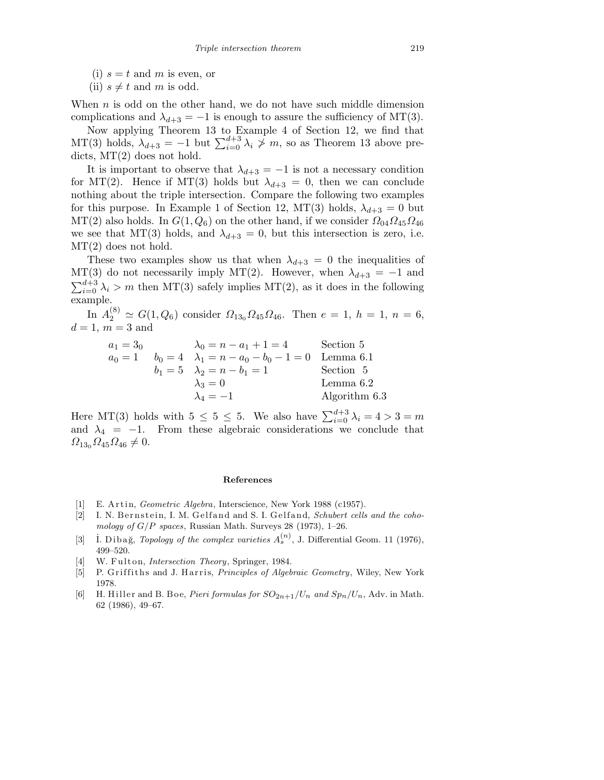- (i)  $s = t$  and m is even, or
- (ii)  $s \neq t$  and m is odd.

When  $n$  is odd on the other hand, we do not have such middle dimension complications and  $\lambda_{d+3} = -1$  is enough to assure the sufficiency of MT(3).

Now applying Theorem 13 to Example 4 of Section 12, we find that MT(3) holds,  $\lambda_{d+3} = -1$  but  $\sum_{i=0}^{d+3} \lambda_i \nsim m$ , so as Theorem 13 above predicts, MT(2) does not hold.

It is important to observe that  $\lambda_{d+3} = -1$  is not a necessary condition for MT(2). Hence if MT(3) holds but  $\lambda_{d+3} = 0$ , then we can conclude nothing about the triple intersection. Compare the following two examples for this purpose. In Example 1 of Section 12, MT(3) holds,  $\lambda_{d+3} = 0$  but MT(2) also holds. In  $G(1, Q_6)$  on the other hand, if we consider  $\Omega_{04}\Omega_{45}\Omega_{46}$ we see that MT(3) holds, and  $\lambda_{d+3} = 0$ , but this intersection is zero, i.e. MT(2) does not hold.

These two examples show us that when  $\lambda_{d+3} = 0$  the inequalities of MT(3) do not necessarily imply MT(2). However, when  $\lambda_{d+3} = -1$  and  $\sum_{i=0}^{d+3} \lambda_i > m$  then MT(3) safely implies MT(2), as it does in the following example.

In  $A_2^{(8)} \simeq G(1, Q_6)$  consider  $\Omega_{13_0} \Omega_{45} \Omega_{46}$ . Then  $e = 1, h = 1, n = 6$ ,  $d = 1, m = 3$  and

> $a_1 = 3_0$   $\lambda_0 = n - a_1 + 1 = 4$  Section 5  $a_0 = 1$   $b_0 = 4$   $\lambda_1 = n - a_0 - b_0 - 1 = 0$  Lemma 6.1  $b_1 = 5$   $\lambda_2 = n - b_1 = 1$  Section 5  $\lambda_3 = 0$  Lemma 6.2<br>  $\lambda_4 = -1$  Algorithm Algorithm  $6.3$

Here MT(3) holds with  $5 \leq 5 \leq 5$ . We also have  $\sum_{i=0}^{d+3} \lambda_i = 4 > 3 = m$ and  $\lambda_4 = -1$ . From these algebraic considerations we conclude that  $\Omega_{13_0}\Omega_{45}\Omega_{46} \neq 0.$ 

#### **References**

- [1] E. Artin, *Geometric Algebra*, Interscience, New York 1988 (c1957).
- [2] I. N. Bernstein, I. M. Gelfand and S. I. Gelfand, *Schubert cells and the cohomology of G/P spaces*, Russian Math. Surveys 28 (1973), 1–26.
- [3]  $\dot{I}$ . Dibağ, *Topology of the complex varieties*  $A_s^{(n)}$ , J. Differential Geom. 11 (1976), 499–520.
- [4] W. Fulton, *Intersection Theory*, Springer, 1984.
- [5] P. Griffiths and J. Harris, *Principles of Algebraic Geometry*, Wiley, New York 1978.
- [6] H. Hiller and B. Boe, *Pieri formulas for*  $SO_{2n+1}/U_n$  *and*  $Sp_n/U_n$ , Adv. in Math. 62 (1986), 49–67.